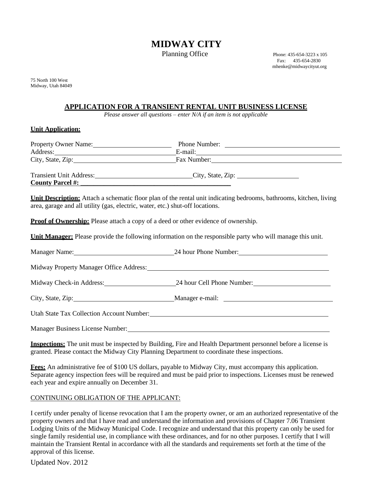# **MIDWAY CITY**

Planning Office  $P$  Phone: 435-654-3223 x 105

Fax: 435-654-2830 [mhenke@midwaycityut.org](mailto:mhenke@midwaycityut.org)

75 North 100 West Midway, Utah 84049

# **APPLICATION FOR A TRANSIENT RENTAL UNIT BUSINESS LICENSE**

*Please answer all questions – enter N/A if an item is not applicable*

### **Unit Application:**

| Property Owner Name:<br>Address:                          | Phone Number:<br>E-mail: |  |
|-----------------------------------------------------------|--------------------------|--|
| City, State, Zip:                                         | Fax Number:              |  |
| <b>Transient Unit Address:</b><br><b>County Parcel #:</b> | City, State, Zip:        |  |

**Unit Description:** Attach a schematic floor plan of the rental unit indicating bedrooms, bathrooms, kitchen, living area, garage and all utility (gas, electric, water, etc.) shut-off locations.

**Proof of Ownership:** Please attach a copy of a deed or other evidence of ownership.

**Unit Manager:** Please provide the following information on the responsible party who will manage this unit.

|                                         | Manager Name: 24 hour Phone Number: 24 hour Phone Number: |  |
|-----------------------------------------|-----------------------------------------------------------|--|
|                                         |                                                           |  |
|                                         | Midway Check-in Address: 24 hour Cell Phone Number:       |  |
|                                         |                                                           |  |
|                                         |                                                           |  |
| <b>Manager Business License Number:</b> |                                                           |  |

**Inspections:** The unit must be inspected by Building, Fire and Health Department personnel before a license is granted. Please contact the Midway City Planning Department to coordinate these inspections.

**Fees:** An administrative fee of \$100 US dollars, payable to Midway City, must accompany this application. Separate agency inspection fees will be required and must be paid prior to inspections. Licenses must be renewed each year and expire annually on December 31.

## CONTINUING OBLIGATION OF THE APPLICANT:

I certify under penalty of license revocation that I am the property owner, or am an authorized representative of the property owners and that I have read and understand the information and provisions of Chapter 7.06 Transient Lodging Units of the Midway Municipal Code. I recognize and understand that this property can only be used for single family residential use, in compliance with these ordinances, and for no other purposes. I certify that I will maintain the Transient Rental in accordance with all the standards and requirements set forth at the time of the approval of this license.

Updated Nov. 2012